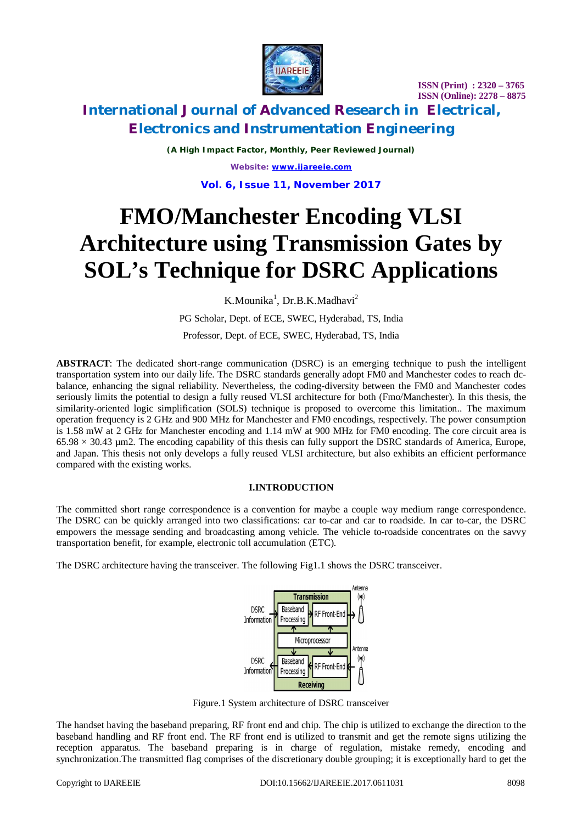

# **International Journal of Advanced Research in Electrical, Electronics and Instrumentation Engineering**

*(A High Impact Factor, Monthly, Peer Reviewed Journal) Website: [www.ijareeie.com](http://www.ijareeie.com)*

**Vol. 6, Issue 11, November 2017**

# **FMO/Manchester Encoding VLSI Architecture using Transmission Gates by SOL's Technique for DSRC Applications**

K.Mounika<sup>1</sup>, Dr.B.K.Madhavi<sup>2</sup>

PG Scholar, Dept. of ECE, SWEC, Hyderabad, TS, India

Professor, Dept. of ECE, SWEC, Hyderabad, TS, India

**ABSTRACT**: The dedicated short-range communication (DSRC) is an emerging technique to push the intelligent transportation system into our daily life. The DSRC standards generally adopt FM0 and Manchester codes to reach dcbalance, enhancing the signal reliability. Nevertheless, the coding-diversity between the FM0 and Manchester codes seriously limits the potential to design a fully reused VLSI architecture for both (Fmo/Manchester). In this thesis, the similarity-oriented logic simplification (SOLS) technique is proposed to overcome this limitation.. The maximum operation frequency is 2 GHz and 900 MHz for Manchester and FM0 encodings, respectively. The power consumption is 1.58 mW at 2 GHz for Manchester encoding and 1.14 mW at 900 MHz for FM0 encoding. The core circuit area is  $65.98 \times 30.43$  µm2. The encoding capability of this thesis can fully support the DSRC standards of America, Europe, and Japan. This thesis not only develops a fully reused VLSI architecture, but also exhibits an efficient performance compared with the existing works.

### **I.INTRODUCTION**

The committed short range correspondence is a convention for maybe a couple way medium range correspondence. The DSRC can be quickly arranged into two classifications: car to-car and car to roadside. In car to-car, the DSRC empowers the message sending and broadcasting among vehicle. The vehicle to-roadside concentrates on the savvy transportation benefit, for example, electronic toll accumulation (ETC).

The DSRC architecture having the transceiver. The following Fig1.1 shows the DSRC transceiver.



Figure.1 System architecture of DSRC transceiver

The handset having the baseband preparing, RF front end and chip. The chip is utilized to exchange the direction to the baseband handling and RF front end. The RF front end is utilized to transmit and get the remote signs utilizing the reception apparatus. The baseband preparing is in charge of regulation, mistake remedy, encoding and synchronization.The transmitted flag comprises of the discretionary double grouping; it is exceptionally hard to get the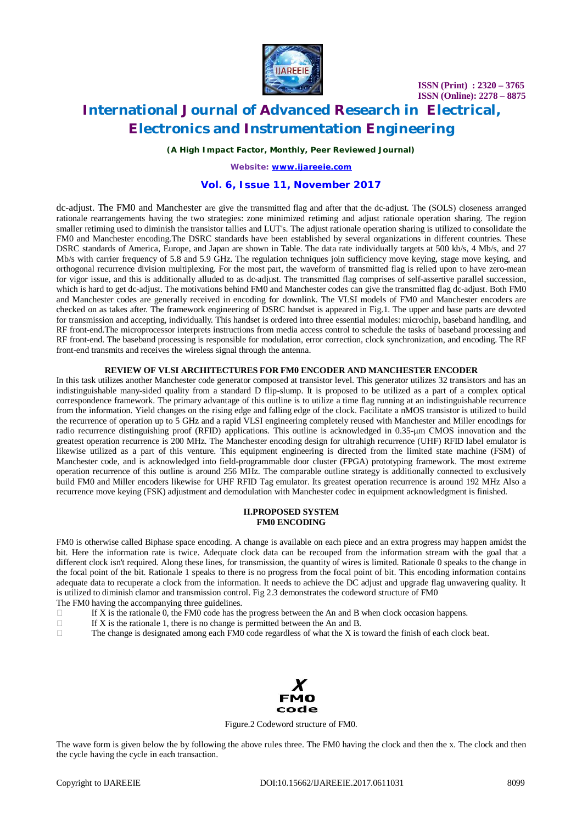

# **International Journal of Advanced Research in Electrical, Electronics and Instrumentation Engineering**

*(A High Impact Factor, Monthly, Peer Reviewed Journal)*

*Website: [www.ijareeie.com](http://www.ijareeie.com)*

### **Vol. 6, Issue 11, November 2017**

dc-adjust. The FM0 and Manchester are give the transmitted flag and after that the dc-adjust. The (SOLS) closeness arranged rationale rearrangements having the two strategies: zone minimized retiming and adjust rationale operation sharing. The region smaller retiming used to diminish the transistor tallies and LUT's. The adjust rationale operation sharing is utilized to consolidate the FM0 and Manchester encoding.The DSRC standards have been established by several organizations in different countries. These DSRC standards of America, Europe, and Japan are shown in Table. The data rate individually targets at 500 kb/s, 4 Mb/s, and 27 Mb/s with carrier frequency of 5.8 and 5.9 GHz. The regulation techniques join sufficiency move keying, stage move keying, and orthogonal recurrence division multiplexing. For the most part, the waveform of transmitted flag is relied upon to have zero-mean for vigor issue, and this is additionally alluded to as dc-adjust. The transmitted flag comprises of self-assertive parallel succession, which is hard to get dc-adjust. The motivations behind FM0 and Manchester codes can give the transmitted flag dc-adjust. Both FM0 and Manchester codes are generally received in encoding for downlink. The VLSI models of FM0 and Manchester encoders are checked on as takes after. The framework engineering of DSRC handset is appeared in Fig.1. The upper and base parts are devoted for transmission and accepting, individually. This handset is ordered into three essential modules: microchip, baseband handling, and RF front-end.The microprocessor interprets instructions from media access control to schedule the tasks of baseband processing and RF front-end. The baseband processing is responsible for modulation, error correction, clock synchronization, and encoding. The RF front-end transmits and receives the wireless signal through the antenna.

### **REVIEW OF VLSI ARCHITECTURES FOR FM0 ENCODER AND MANCHESTER ENCODER**

In this task utilizes another Manchester code generator composed at transistor level. This generator utilizes 32 transistors and has an indistinguishable many-sided quality from a standard D flip-slump. It is proposed to be utilized as a part of a complex optical correspondence framework. The primary advantage of this outline is to utilize a time flag running at an indistinguishable recurrence from the information. Yield changes on the rising edge and falling edge of the clock. Facilitate a nMOS transistor is utilized to build the recurrence of operation up to 5 GHz and a rapid VLSI engineering completely reused with Manchester and Miller encodings for radio recurrence distinguishing proof (RFID) applications. This outline is acknowledged in 0.35-μm CMOS innovation and the greatest operation recurrence is 200 MHz. The Manchester encoding design for ultrahigh recurrence (UHF) RFID label emulator is likewise utilized as a part of this venture. This equipment engineering is directed from the limited state machine (FSM) of Manchester code, and is acknowledged into field-programmable door cluster (FPGA) prototyping framework. The most extreme operation recurrence of this outline is around 256 MHz. The comparable outline strategy is additionally connected to exclusively build FM0 and Miller encoders likewise for UHF RFID Tag emulator. Its greatest operation recurrence is around 192 MHz Also a recurrence move keying (FSK) adjustment and demodulation with Manchester codec in equipment acknowledgment is finished.

#### **II.PROPOSED SYSTEM FM0 ENCODING**

FM0 is otherwise called Biphase space encoding. A change is available on each piece and an extra progress may happen amidst the bit. Here the information rate is twice. Adequate clock data can be recouped from the information stream with the goal that a different clock isn't required. Along these lines, for transmission, the quantity of wires is limited. Rationale 0 speaks to the change in the focal point of the bit. Rationale 1 speaks to there is no progress from the focal point of bit. This encoding information contains adequate data to recuperate a clock from the information. It needs to achieve the DC adjust and upgrade flag unwavering quality. It is utilized to diminish clamor and transmission control. Fig 2.3 demonstrates the codeword structure of FM0 The FM0 having the accompanying three guidelines.

- If X is the rationale 0, the FM0 code has the progress between the An and B when clock occasion happens.<br>If X is the rationale 1, there is no change is permitted between the An and B.
- If X is the rationale 1, there is no change is permitted between the An and B.
- $\Box$  The change is designated among each FM0 code regardless of what the X is toward the finish of each clock beat.



Figure.2 Codeword structure of FM0.

The wave form is given below the by following the above rules three. The FM0 having the clock and then the x. The clock and then the cycle having the cycle in each transaction.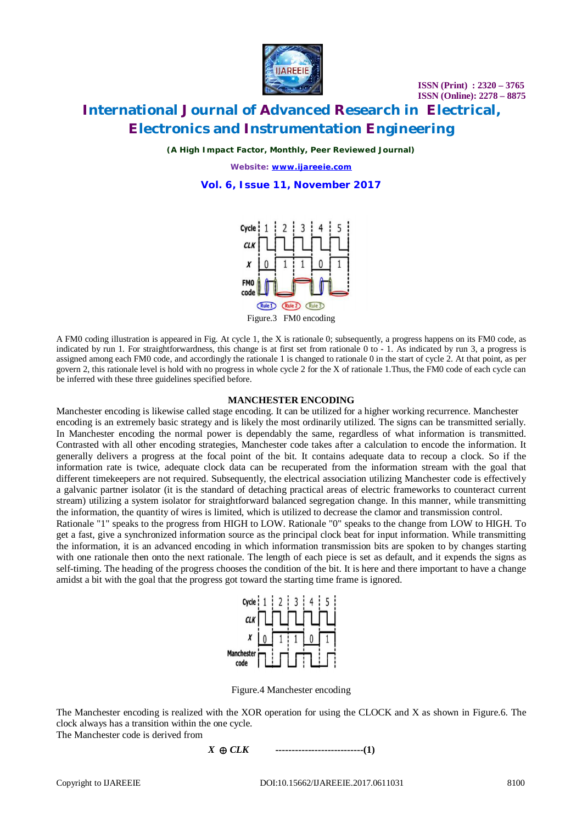

# **International Journal of Advanced Research in Electrical, Electronics and Instrumentation Engineering**

*(A High Impact Factor, Monthly, Peer Reviewed Journal)*

*Website: [www.ijareeie.com](http://www.ijareeie.com)*

**Vol. 6, Issue 11, November 2017**



A FM0 coding illustration is appeared in Fig. At cycle 1, the X is rationale 0; subsequently, a progress happens on its FM0 code, as indicated by run 1. For straightforwardness, this change is at first set from rationale 0 to - 1. As indicated by run 3, a progress is assigned among each FM0 code, and accordingly the rationale 1 is changed to rationale 0 in the start of cycle 2. At that point, as per govern 2, this rationale level is hold with no progress in whole cycle 2 for the X of rationale 1.Thus, the FM0 code of each cycle can be inferred with these three guidelines specified before.

#### **MANCHESTER ENCODING**

Manchester encoding is likewise called stage encoding. It can be utilized for a higher working recurrence. Manchester encoding is an extremely basic strategy and is likely the most ordinarily utilized. The signs can be transmitted serially. In Manchester encoding the normal power is dependably the same, regardless of what information is transmitted. Contrasted with all other encoding strategies, Manchester code takes after a calculation to encode the information. It generally delivers a progress at the focal point of the bit. It contains adequate data to recoup a clock. So if the information rate is twice, adequate clock data can be recuperated from the information stream with the goal that different timekeepers are not required. Subsequently, the electrical association utilizing Manchester code is effectively a galvanic partner isolator (it is the standard of detaching practical areas of electric frameworks to counteract current stream) utilizing a system isolator for straightforward balanced segregation change. In this manner, while transmitting the information, the quantity of wires is limited, which is utilized to decrease the clamor and transmission control.

Rationale "1" speaks to the progress from HIGH to LOW. Rationale "0" speaks to the change from LOW to HIGH. To get a fast, give a synchronized information source as the principal clock beat for input information. While transmitting the information, it is an advanced encoding in which information transmission bits are spoken to by changes starting with one rationale then onto the next rationale. The length of each piece is set as default, and it expends the signs as self-timing. The heading of the progress chooses the condition of the bit. It is here and there important to have a change amidst a bit with the goal that the progress got toward the starting time frame is ignored.



Figure.4 Manchester encoding

The Manchester encoding is realized with the XOR operation for using the CLOCK and X as shown in Figure.6. The clock always has a transition within the one cycle.

The Manchester code is derived from

$$
X \oplus CLK
$$
 \n $\cdots$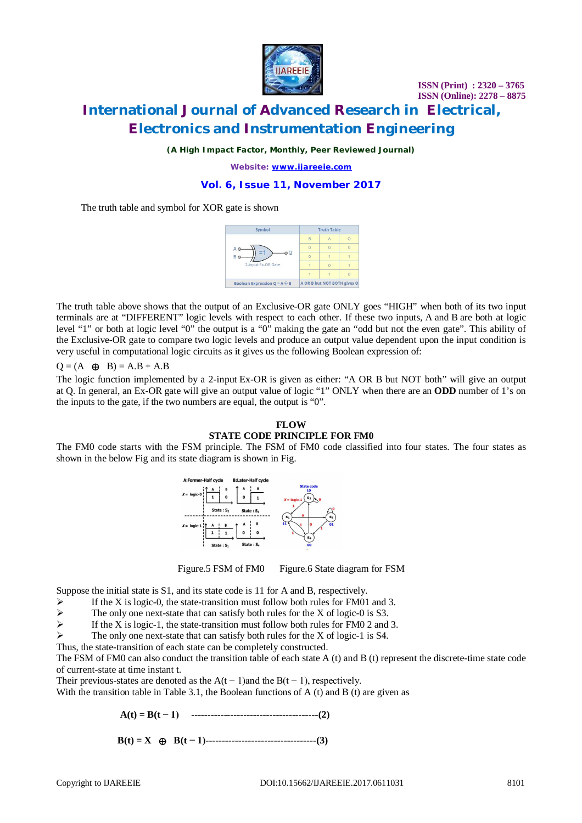

# **International Journal of Advanced Research in Electrical, Electronics and Instrumentation Engineering**

*(A High Impact Factor, Monthly, Peer Reviewed Journal)*

*Website: [www.ijareeie.com](http://www.ijareeie.com)*

### **Vol. 6, Issue 11, November 2017**

The truth table and symbol for XOR gate is shown



The truth table above shows that the output of an Exclusive-OR gate ONLY goes "HIGH" when both of its two input terminals are at "DIFFERENT" logic levels with respect to each other. If these two inputs, A and B are both at logic level "1" or both at logic level "0" the output is a "0" making the gate an "odd but not the even gate". This ability of the Exclusive-OR gate to compare two logic levels and produce an output value dependent upon the input condition is very useful in computational logic circuits as it gives us the following Boolean expression of:

$$
Q = (A \oplus B) = A.B + A.B
$$

The logic function implemented by a 2-input Ex-OR is given as either: "A OR B but NOT both" will give an output at Q. In general, an Ex-OR gate will give an output value of logic "1" ONLY when there are an **ODD** number of 1's on the inputs to the gate, if the two numbers are equal, the output is "0".

### **FLOW STATE CODE PRINCIPLE FOR FM0**

The FM0 code starts with the FSM principle. The FSM of FM0 code classified into four states. The four states as shown in the below Fig and its state diagram is shown in Fig.





Figure.5 FSM of FM0 Figure.6 State diagram for FSM

Suppose the initial state is S1, and its state code is 11 for A and B, respectively.

- If the X is logic-0, the state-transition must follow both rules for FM01 and 3.<br>
The only one next-state that can satisfy both rules for the X of logic-0 is S3.
- 
- The only one next-state that can satisfy both rules for the X of logic-0 is S3.<br>If the X is logic-1, the state-transition must follow both rules for FM0 2 and If the X is logic-1, the state-transition must follow both rules for FM0 2 and 3.
- The only one next-state that can satisfy both rules for the X of logic-1 is S4.
- Thus, the state-transition of each state can be completely constructed.

The FSM of FM0 can also conduct the transition table of each state A (t) and B (t) represent the discrete-time state code of current-state at time instant t.

Their previous-states are denoted as the  $A(t-1)$  and the  $B(t-1)$ , respectively.

With the transition table in Table 3.1, the Boolean functions of A (t) and B (t) are given as

 **A(t) = B(t − 1) ---------------------------------------(2)**

 **B(t) = X ⊕****B(t − 1)----------------------------------(3)**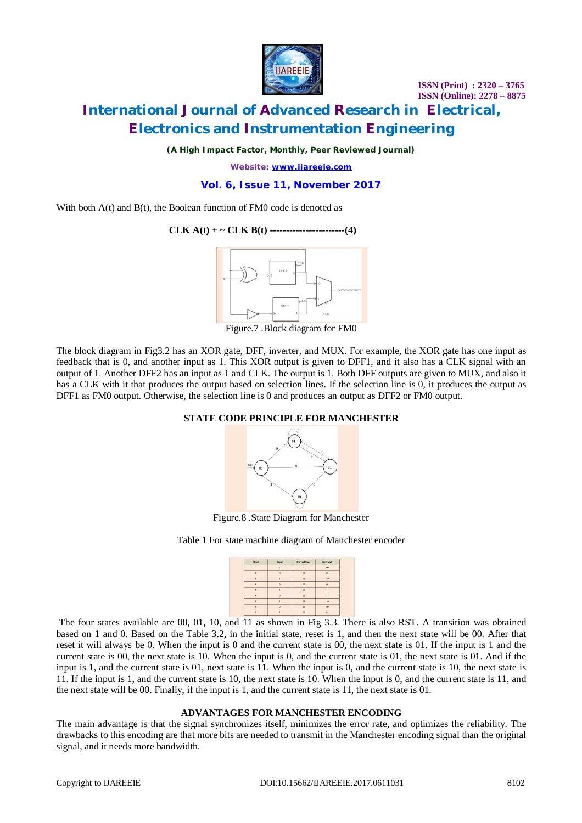

# **International Journal of Advanced Research in Electrical, Electronics and Instrumentation Engineering**

*(A High Impact Factor, Monthly, Peer Reviewed Journal)*

*Website: [www.ijareeie.com](http://www.ijareeie.com)*

### **Vol. 6, Issue 11, November 2017**

With both  $A(t)$  and  $B(t)$ , the Boolean function of FM0 code is denoted as

### **CLK A(t) + ~ CLK B(t) -----------------------(4)**



Figure.7 .Block diagram for FM0

The block diagram in Fig3.2 has an XOR gate, DFF, inverter, and MUX. For example, the XOR gate has one input as feedback that is 0, and another input as 1. This XOR output is given to DFF1, and it also has a CLK signal with an output of 1. Another DFF2 has an input as 1 and CLK. The output is 1. Both DFF outputs are given to MUX, and also it has a CLK with it that produces the output based on selection lines. If the selection line is 0, it produces the output as DFF1 as FM0 output. Otherwise, the selection line is 0 and produces an output as DFF2 or FM0 output.

### **STATE CODE PRINCIPLE FOR MANCHESTER**



Figure.8 .State Diagram for Manchester

Table 1 For state machine diagram of Manchester encoder



The four states available are 00, 01, 10, and 11 as shown in Fig 3.3. There is also RST. A transition was obtained based on 1 and 0. Based on the Table 3.2, in the initial state, reset is 1, and then the next state will be 00. After that reset it will always be 0. When the input is 0 and the current state is 00, the next state is 01. If the input is 1 and the current state is 00, the next state is 10. When the input is 0, and the current state is 01, the next state is 01. And if the input is 1, and the current state is 01, next state is 11. When the input is 0, and the current state is 10, the next state is 11. If the input is 1, and the current state is 10, the next state is 10. When the input is 0, and the current state is 11, and the next state will be 00. Finally, if the input is 1, and the current state is 11, the next state is 01.

### **ADVANTAGES FOR MANCHESTER ENCODING**

The main advantage is that the signal synchronizes itself, minimizes the error rate, and optimizes the reliability. The drawbacks to this encoding are that more bits are needed to transmit in the Manchester encoding signal than the original signal, and it needs more bandwidth.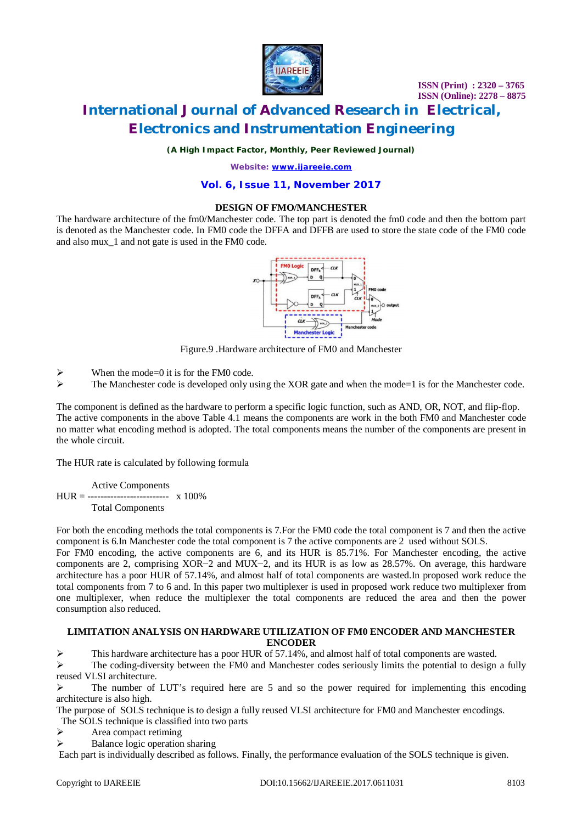

# **International Journal of Advanced Research in Electrical, Electronics and Instrumentation Engineering**

*(A High Impact Factor, Monthly, Peer Reviewed Journal)*

*Website: [www.ijareeie.com](http://www.ijareeie.com)*

### **Vol. 6, Issue 11, November 2017**

#### **DESIGN OF FMO/MANCHESTER**

The hardware architecture of the fm0/Manchester code. The top part is denoted the fm0 code and then the bottom part is denoted as the Manchester code. In FM0 code the DFFA and DFFB are used to store the state code of the FM0 code and also mux\_1 and not gate is used in the FM0 code.



Figure.9 .Hardware architecture of FM0 and Manchester

- When the mode=0 it is for the FM0 code.<br>
The Manchester code is developed only u
- The Manchester code is developed only using the XOR gate and when the mode=1 is for the Manchester code.

The component is defined as the hardware to perform a specific logic function, such as AND, OR, NOT, and flip-flop. The active components in the above Table 4.1 means the components are work in the both FM0 and Manchester code no matter what encoding method is adopted. The total components means the number of the components are present in the whole circuit.

The HUR rate is calculated by following formula

Active Components  $HUR =$  ------------------------- x 100% Total Components

For both the encoding methods the total components is 7.For the FM0 code the total component is 7 and then the active component is 6.In Manchester code the total component is 7 the active components are 2 used without SOLS.

For FM0 encoding, the active components are 6, and its HUR is 85.71%. For Manchester encoding, the active components are 2, comprising XOR−2 and MUX−2, and its HUR is as low as 28.57%. On average, this hardware architecture has a poor HUR of 57.14%, and almost half of total components are wasted.In proposed work reduce the total components from 7 to 6 and. In this paper two multiplexer is used in proposed work reduce two multiplexer from one multiplexer, when reduce the multiplexer the total components are reduced the area and then the power consumption also reduced.

### **LIMITATION ANALYSIS ON HARDWARE UTILIZATION OF FM0 ENCODER AND MANCHESTER ENCODER**

This hardware architecture has a poor HUR of 57.14%, and almost half of total components are wasted.

 $\triangleright$  The coding-diversity between the FM0 and Manchester codes seriously limits the potential to design a fully reused VLSI architecture.

 $\triangleright$  The number of LUT's required here are 5 and so the power required for implementing this encoding architecture is also high.

The purpose of SOLS technique is to design a fully reused VLSI architecture for FM0 and Manchester encodings.

- The SOLS technique is classified into two parts
- $\triangleright$  Area compact retiming<br> $\triangleright$  Balance logic operation
- Balance logic operation sharing

Each part is individually described as follows. Finally, the performance evaluation of the SOLS technique is given.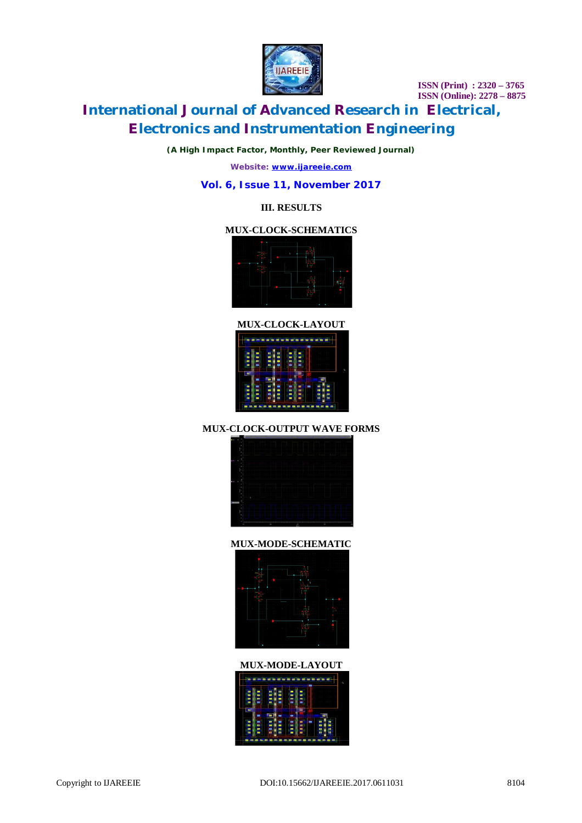

# **International Journal of Advanced Research in Electrical, Electronics and Instrumentation Engineering**

*(A High Impact Factor, Monthly, Peer Reviewed Journal)*

*Website: [www.ijareeie.com](http://www.ijareeie.com)*

### **Vol. 6, Issue 11, November 2017**

### **III. RESULTS**

### **MUX-CLOCK-SCHEMATICS**



**MUX-CLOCK-LAYOUT** <u>Isaacaanaan sanaa l</u>

|                  | п         |        |              |  |
|------------------|-----------|--------|--------------|--|
| ٠                |           | ۰      |              |  |
|                  |           | 83     | <b>STATE</b> |  |
|                  |           |        |              |  |
|                  |           | E.     |              |  |
|                  |           | 88     | ۰            |  |
| ۰<br>٠<br>٠<br>۰ | <b>RB</b> | n<br>- | m<br>۰       |  |
| H                |           |        | п<br>E<br>m  |  |
|                  |           |        |              |  |

### **MUX-CLOCK-OUTPUT WAVE FORMS**



### **MUX-MODE-SCHEMATIC**



### **MUX-MODE-LAYOUT**

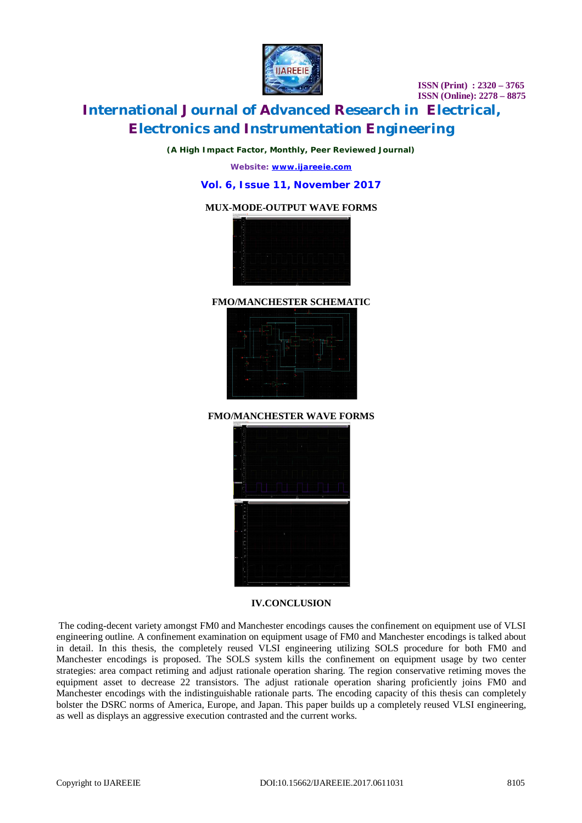

# **International Journal of Advanced Research in Electrical, Electronics and Instrumentation Engineering**

*(A High Impact Factor, Monthly, Peer Reviewed Journal)*

*Website: [www.ijareeie.com](http://www.ijareeie.com)*

### **Vol. 6, Issue 11, November 2017**

### **MUX-MODE-OUTPUT WAVE FORMS**



### **FMO/MANCHESTER SCHEMATIC**



### **FMO/MANCHESTER WAVE FORMS**



### **IV.CONCLUSION**

The coding-decent variety amongst FM0 and Manchester encodings causes the confinement on equipment use of VLSI engineering outline. A confinement examination on equipment usage of FM0 and Manchester encodings is talked about in detail. In this thesis, the completely reused VLSI engineering utilizing SOLS procedure for both FM0 and Manchester encodings is proposed. The SOLS system kills the confinement on equipment usage by two center strategies: area compact retiming and adjust rationale operation sharing. The region conservative retiming moves the equipment asset to decrease 22 transistors. The adjust rationale operation sharing proficiently joins FM0 and Manchester encodings with the indistinguishable rationale parts. The encoding capacity of this thesis can completely bolster the DSRC norms of America, Europe, and Japan. This paper builds up a completely reused VLSI engineering, as well as displays an aggressive execution contrasted and the current works.